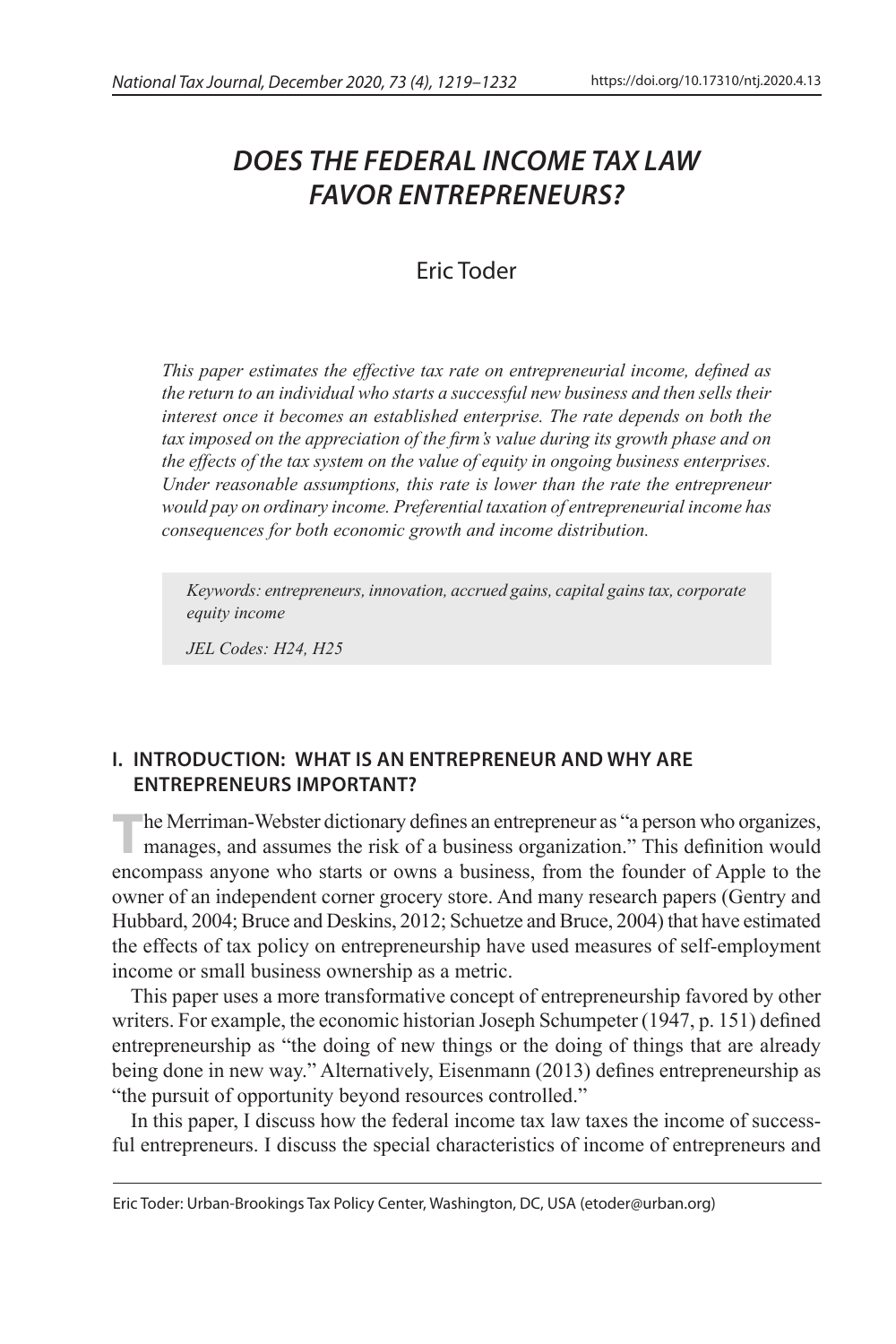# *DOES THE FEDERAL INCOME TAX LAW FAVOR ENTREPRENEURS?*

## Eric Toder

*This paper estimates the effective tax rate on entrepreneurial income, defined as the return to an individual who starts a successful new business and then sells their interest once it becomes an established enterprise. The rate depends on both the*  tax imposed on the appreciation of the firm's value during its growth phase and on *the effects of the tax system on the value of equity in ongoing business enterprises. Under reasonable assumptions, this rate is lower than the rate the entrepreneur would pay on ordinary income. Preferential taxation of entrepreneurial income has consequences for both economic growth and income distribution.*

*Keywords: entrepreneurs, innovation, accrued gains, capital gains tax, corporate equity income*

*JEL Codes: H24, H25*

## **I. INTRODUCTION: WHAT IS AN ENTREPRENEUR AND WHY ARE ENTREPRENEURS IMPORTANT?**

The Merriman-Webster dictionary defines an entrepreneur as "a person who organizes, manages, and assumes the risk of a business organization." This definition would encompass anyone who starts or owns a business, from the founder of Apple to the owner of an independent corner grocery store. And many research papers (Gentry and Hubbard, 2004; Bruce and Deskins, 2012; Schuetze and Bruce, 2004) that have estimated the effects of tax policy on entrepreneurship have used measures of self-employment income or small business ownership as a metric.

This paper uses a more transformative concept of entrepreneurship favored by other writers. For example, the economic historian Joseph Schumpeter (1947, p. 151) defined entrepreneurship as "the doing of new things or the doing of things that are already being done in new way." Alternatively, Eisenmann (2013) defines entrepreneurship as "the pursuit of opportunity beyond resources controlled."

In this paper, I discuss how the federal income tax law taxes the income of successful entrepreneurs. I discuss the special characteristics of income of entrepreneurs and

Eric Toder: Urban-Brookings Tax Policy Center, Washington, DC, USA (etoder@urban.org)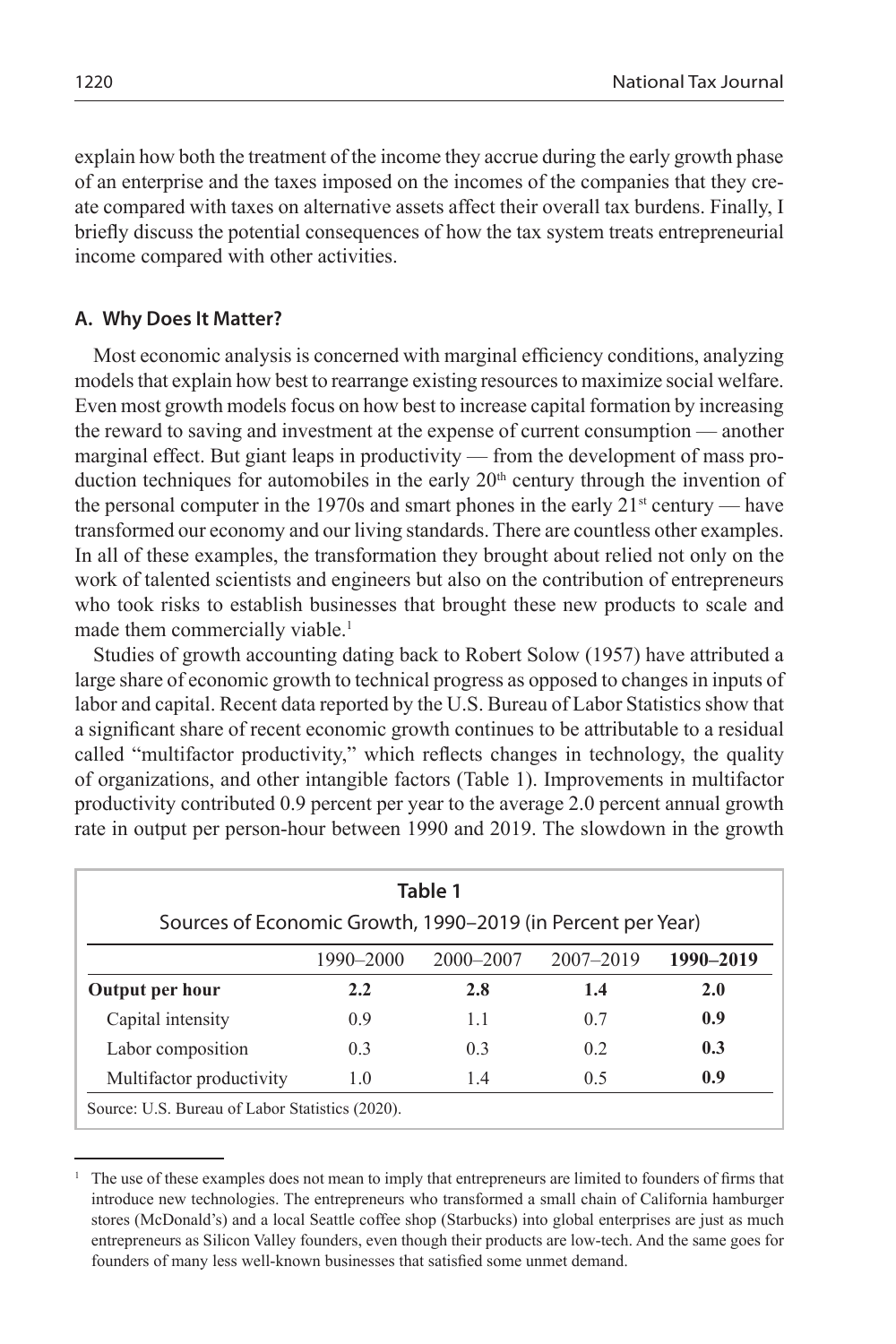explain how both the treatment of the income they accrue during the early growth phase of an enterprise and the taxes imposed on the incomes of the companies that they create compared with taxes on alternative assets affect their overall tax burdens. Finally, I briefly discuss the potential consequences of how the tax system treats entrepreneurial income compared with other activities.

#### **A. Why Does It Matter?**

Most economic analysis is concerned with marginal efficiency conditions, analyzing models that explain how best to rearrange existing resources to maximize social welfare. Even most growth models focus on how best to increase capital formation by increasing the reward to saving and investment at the expense of current consumption — another marginal effect. But giant leaps in productivity — from the development of mass production techniques for automobiles in the early  $20<sup>th</sup>$  century through the invention of the personal computer in the 1970s and smart phones in the early  $21<sup>st</sup>$  century — have transformed our economy and our living standards. There are countless other examples. In all of these examples, the transformation they brought about relied not only on the work of talented scientists and engineers but also on the contribution of entrepreneurs who took risks to establish businesses that brought these new products to scale and made them commercially viable.<sup>1</sup>

Studies of growth accounting dating back to Robert Solow (1957) have attributed a large share of economic growth to technical progress as opposed to changes in inputs of labor and capital. Recent data reported by the U.S. Bureau of Labor Statistics show that a significant share of recent economic growth continues to be attributable to a residual called "multifactor productivity," which reflects changes in technology, the quality of organizations, and other intangible factors (Table 1). Improvements in multifactor productivity contributed 0.9 percent per year to the average 2.0 percent annual growth rate in output per person-hour between 1990 and 2019. The slowdown in the growth

| Table 1                                                     |           |                |           |           |
|-------------------------------------------------------------|-----------|----------------|-----------|-----------|
| Sources of Economic Growth, 1990-2019 (in Percent per Year) |           |                |           |           |
|                                                             | 1990–2000 | $2000 - 2007$  | 2007-2019 | 1990-2019 |
| Output per hour                                             | 2.2       | 2.8            | 1.4       | 2.0       |
| Capital intensity                                           | 0.9       | 1.1            | 0.7       | 0.9       |
| Labor composition                                           | 0.3       | 0 <sup>3</sup> | 02        | 0.3       |
| Multifactor productivity                                    | 1.0       | 1.4            | 0.5       | 0.9       |

<sup>1</sup> The use of these examples does not mean to imply that entrepreneurs are limited to founders of firms that introduce new technologies. The entrepreneurs who transformed a small chain of California hamburger stores (McDonald's) and a local Seattle coffee shop (Starbucks) into global enterprises are just as much entrepreneurs as Silicon Valley founders, even though their products are low-tech. And the same goes for founders of many less well-known businesses that satisfied some unmet demand.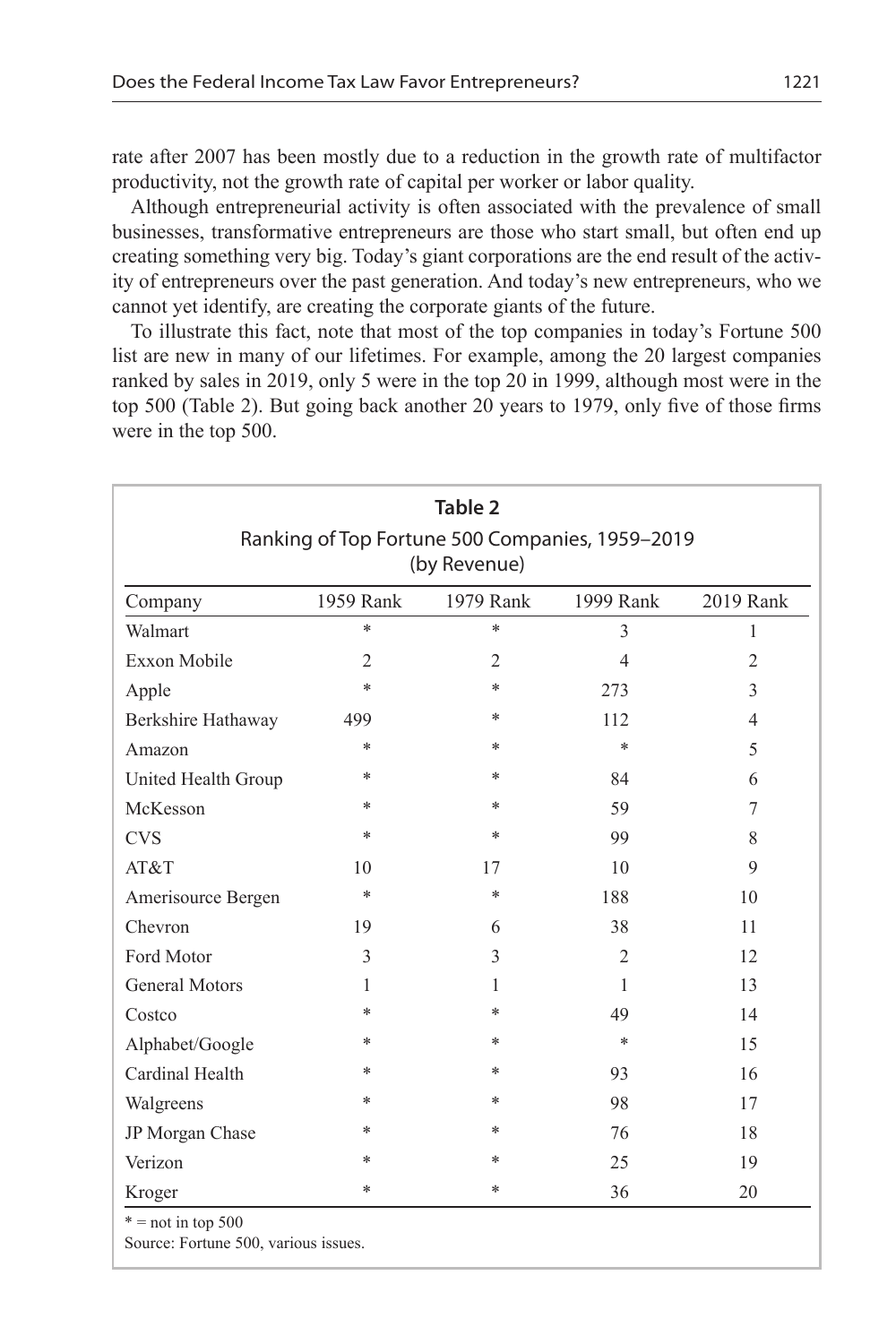rate after 2007 has been mostly due to a reduction in the growth rate of multifactor productivity, not the growth rate of capital per worker or labor quality.

Although entrepreneurial activity is often associated with the prevalence of small businesses, transformative entrepreneurs are those who start small, but often end up creating something very big. Today's giant corporations are the end result of the activity of entrepreneurs over the past generation. And today's new entrepreneurs, who we cannot yet identify, are creating the corporate giants of the future.

To illustrate this fact, note that most of the top companies in today's Fortune 500 list are new in many of our lifetimes. For example, among the 20 largest companies ranked by sales in 2019, only 5 were in the top 20 in 1999, although most were in the top 500 (Table 2). But going back another 20 years to 1979, only five of those firms were in the top 500.

| Table 2<br>Ranking of Top Fortune 500 Companies, 1959-2019<br>(by Revenue) |                |                |                |                |  |  |
|----------------------------------------------------------------------------|----------------|----------------|----------------|----------------|--|--|
| Company                                                                    | 1959 Rank      | 1979 Rank      | 1999 Rank      | 2019 Rank      |  |  |
| $\ast$<br>$\ast$<br>Walmart<br>3<br>1                                      |                |                |                |                |  |  |
| <b>Exxon Mobile</b>                                                        | $\overline{2}$ | $\overline{2}$ | $\overline{4}$ | $\overline{2}$ |  |  |
| *<br>*<br>3<br>Apple<br>273                                                |                |                |                |                |  |  |
| Berkshire Hathaway                                                         | 499            | *              | 112            | $\overline{4}$ |  |  |
| Amazon                                                                     | *              | *              | *              | 5              |  |  |
| United Health Group                                                        | *              | *              | 84             | 6              |  |  |
| McKesson                                                                   | *              | *              | 59             | 7              |  |  |
| <b>CVS</b>                                                                 | *              | *              | 99             | 8              |  |  |
| AT&T                                                                       | 10             | 17             | 10             | 9              |  |  |
| Amerisource Bergen                                                         | *              | *              | 188            | 10             |  |  |
| Chevron                                                                    | 19             | 6              | 38             | 11             |  |  |
| Ford Motor                                                                 | 3              | 3              | $\overline{2}$ | 12             |  |  |
| <b>General Motors</b>                                                      | 1              | 1              | 1              | 13             |  |  |
| Costco                                                                     | *              | *              | 49             | 14             |  |  |
| Alphabet/Google                                                            | *              | *              | *              | 15             |  |  |
| Cardinal Health                                                            | *              | *              | 93             | 16             |  |  |
| Walgreens                                                                  | *              | *              | 98             | 17             |  |  |
| JP Morgan Chase                                                            | *              | *              | 76             | 18             |  |  |
| Verizon                                                                    | *              | *              | 25             | 19             |  |  |
| Kroger                                                                     | *              | *              | 36             | 20             |  |  |

Source: Fortune 500, various issues.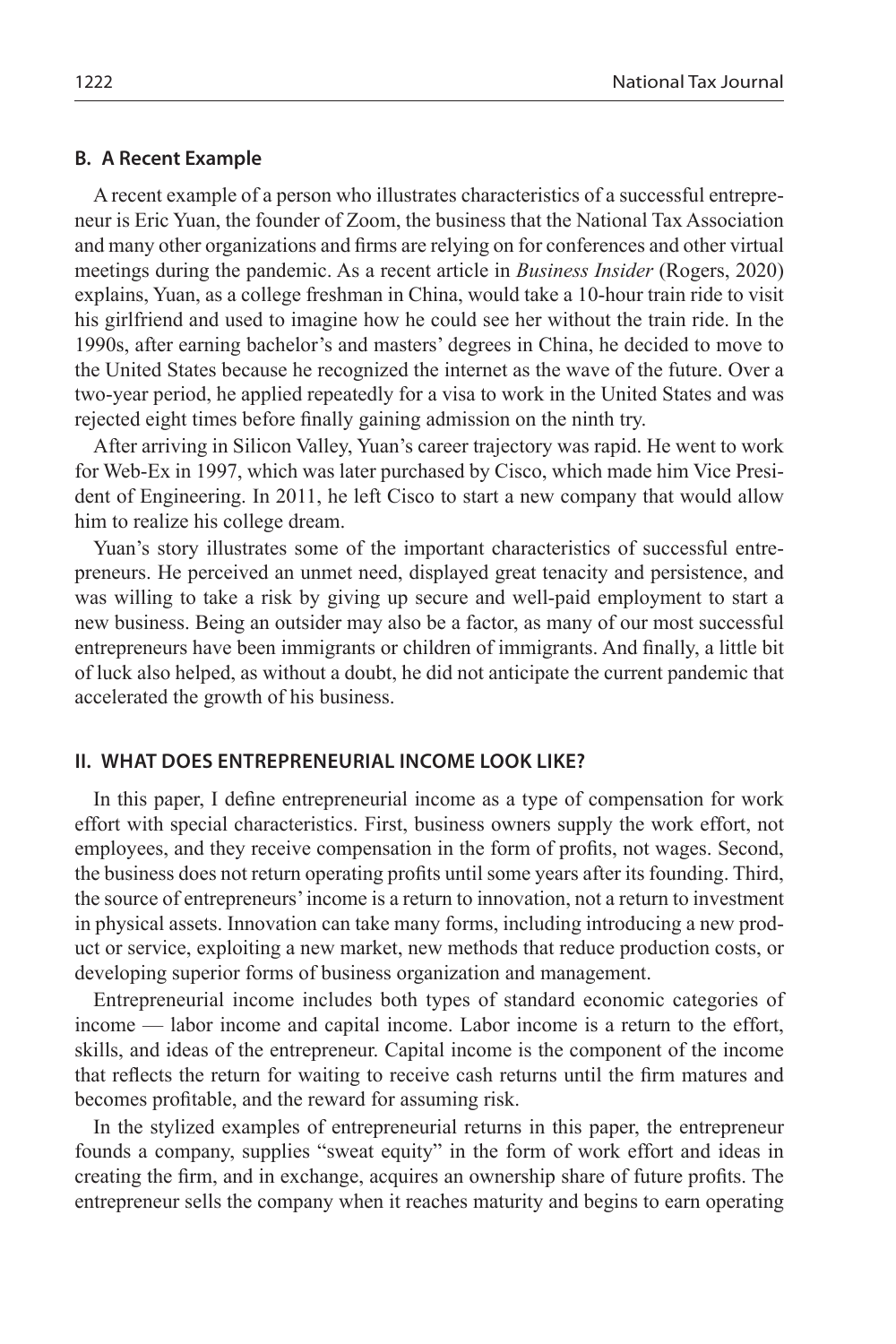#### **B. A Recent Example**

A recent example of a person who illustrates characteristics of a successful entrepreneur is Eric Yuan, the founder of Zoom, the business that the National Tax Association and many other organizations and firms are relying on for conferences and other virtual meetings during the pandemic. As a recent article in *Business Insider* (Rogers, 2020) explains, Yuan, as a college freshman in China, would take a 10-hour train ride to visit his girlfriend and used to imagine how he could see her without the train ride. In the 1990s, after earning bachelor's and masters' degrees in China, he decided to move to the United States because he recognized the internet as the wave of the future. Over a two-year period, he applied repeatedly for a visa to work in the United States and was rejected eight times before finally gaining admission on the ninth try.

After arriving in Silicon Valley, Yuan's career trajectory was rapid. He went to work for Web-Ex in 1997, which was later purchased by Cisco, which made him Vice President of Engineering. In 2011, he left Cisco to start a new company that would allow him to realize his college dream.

Yuan's story illustrates some of the important characteristics of successful entrepreneurs. He perceived an unmet need, displayed great tenacity and persistence, and was willing to take a risk by giving up secure and well-paid employment to start a new business. Being an outsider may also be a factor, as many of our most successful entrepreneurs have been immigrants or children of immigrants. And finally, a little bit of luck also helped, as without a doubt, he did not anticipate the current pandemic that accelerated the growth of his business.

#### **II. WHAT DOES ENTREPRENEURIAL INCOME LOOK LIKE?**

In this paper, I define entrepreneurial income as a type of compensation for work effort with special characteristics. First, business owners supply the work effort, not employees, and they receive compensation in the form of profits, not wages. Second, the business does not return operating profits until some years after its founding. Third, the source of entrepreneurs' income is a return to innovation, not a return to investment in physical assets. Innovation can take many forms, including introducing a new product or service, exploiting a new market, new methods that reduce production costs, or developing superior forms of business organization and management.

Entrepreneurial income includes both types of standard economic categories of income — labor income and capital income. Labor income is a return to the effort, skills, and ideas of the entrepreneur. Capital income is the component of the income that reflects the return for waiting to receive cash returns until the firm matures and becomes profitable, and the reward for assuming risk.

In the stylized examples of entrepreneurial returns in this paper, the entrepreneur founds a company, supplies "sweat equity" in the form of work effort and ideas in creating the firm, and in exchange, acquires an ownership share of future profits. The entrepreneur sells the company when it reaches maturity and begins to earn operating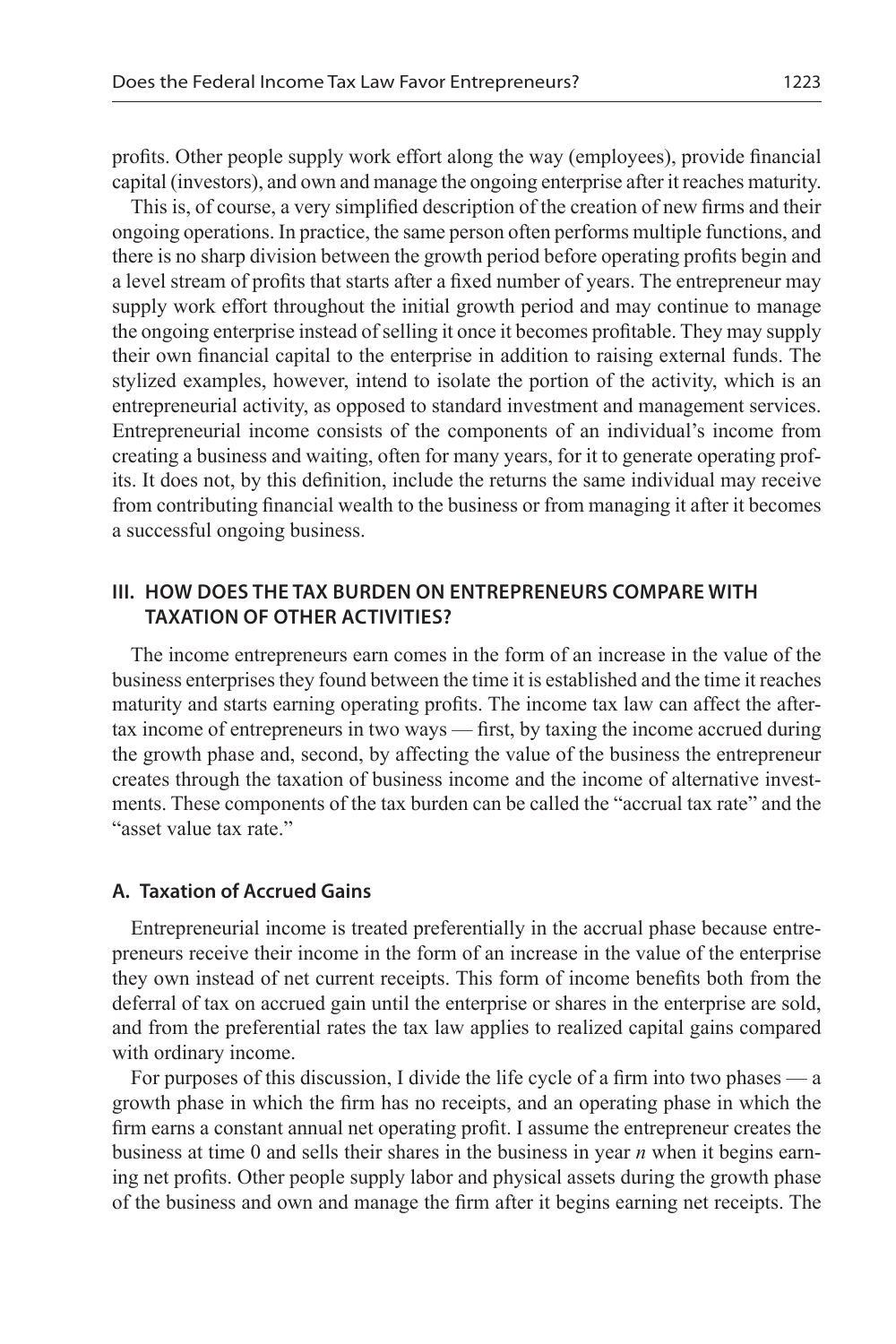profits. Other people supply work effort along the way (employees), provide financial capital (investors), and own and manage the ongoing enterprise after it reaches maturity.

This is, of course, a very simplified description of the creation of new firms and their ongoing operations. In practice, the same person often performs multiple functions, and there is no sharp division between the growth period before operating profits begin and a level stream of profits that starts after a fixed number of years. The entrepreneur may supply work effort throughout the initial growth period and may continue to manage the ongoing enterprise instead of selling it once it becomes profitable. They may supply their own financial capital to the enterprise in addition to raising external funds. The stylized examples, however, intend to isolate the portion of the activity, which is an entrepreneurial activity, as opposed to standard investment and management services. Entrepreneurial income consists of the components of an individual's income from creating a business and waiting, often for many years, for it to generate operating profits. It does not, by this definition, include the returns the same individual may receive from contributing financial wealth to the business or from managing it after it becomes a successful ongoing business.

### **III. HOW DOES THE TAX BURDEN ON ENTREPRENEURS COMPARE WITH TAXATION OF OTHER ACTIVITIES?**

The income entrepreneurs earn comes in the form of an increase in the value of the business enterprises they found between the time it is established and the time it reaches maturity and starts earning operating profits. The income tax law can affect the aftertax income of entrepreneurs in two ways — first, by taxing the income accrued during the growth phase and, second, by affecting the value of the business the entrepreneur creates through the taxation of business income and the income of alternative investments. These components of the tax burden can be called the "accrual tax rate" and the "asset value tax rate."

#### **A. Taxation of Accrued Gains**

Entrepreneurial income is treated preferentially in the accrual phase because entrepreneurs receive their income in the form of an increase in the value of the enterprise they own instead of net current receipts. This form of income benefits both from the deferral of tax on accrued gain until the enterprise or shares in the enterprise are sold, and from the preferential rates the tax law applies to realized capital gains compared with ordinary income.

For purposes of this discussion, I divide the life cycle of a firm into two phases — a growth phase in which the firm has no receipts, and an operating phase in which the firm earns a constant annual net operating profit. I assume the entrepreneur creates the business at time 0 and sells their shares in the business in year *n* when it begins earning net profits. Other people supply labor and physical assets during the growth phase of the business and own and manage the firm after it begins earning net receipts. The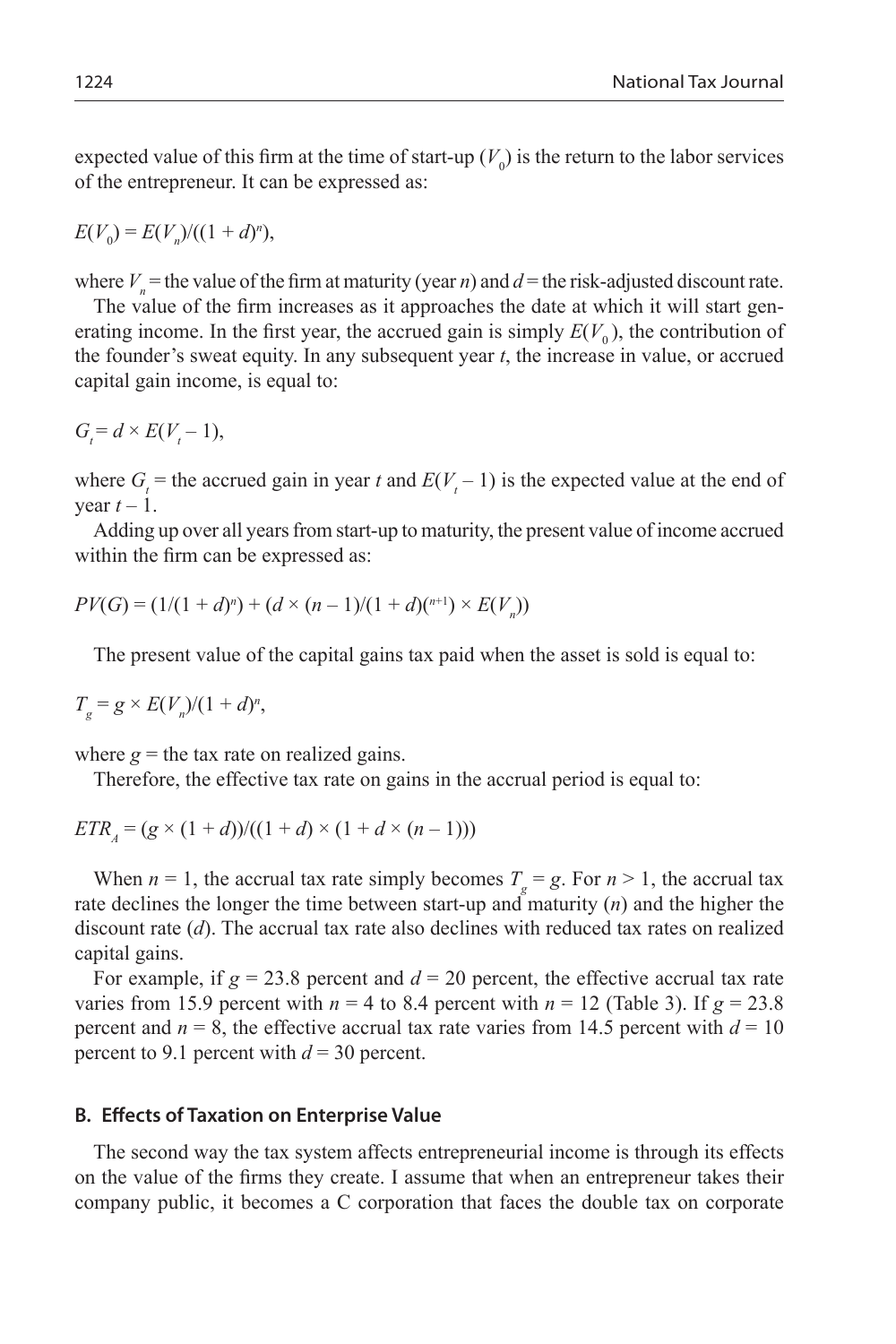expected value of this firm at the time of start-up  $(V_0)$  is the return to the labor services of the entrepreneur. It can be expressed as:

$$
E(V_0) = E(V_n)/((1+d)^n),
$$

where  $V_n$  = the value of the firm at maturity (year *n*) and  $d$  = the risk-adjusted discount rate.

The value of the firm increases as it approaches the date at which it will start generating income. In the first year, the accrued gain is simply  $E(V_0)$ , the contribution of the founder's sweat equity. In any subsequent year *t*, the increase in value, or accrued capital gain income, is equal to:

$$
G_t = d \times E(V_t - 1),
$$

where  $G_t$  = the accrued gain in year *t* and  $E(V_t - 1)$  is the expected value at the end of vear  $t-1$ .

Adding up over all years from start-up to maturity, the present value of income accrued within the firm can be expressed as:

$$
PV(G) = (1/(1+d)^n) + (d \times (n-1)/(1+d)(n+1)) \times E(V_n))
$$

The present value of the capital gains tax paid when the asset is sold is equal to:

$$
T_g = g \times E(V_n)/(1+d)^n,
$$

where  $g =$  the tax rate on realized gains.

Therefore, the effective tax rate on gains in the accrual period is equal to:

$$
ETRA = (g \times (1 + d)) / ((1 + d) \times (1 + d \times (n - 1)))
$$

When  $n = 1$ , the accrual tax rate simply becomes  $T_g = g$ . For  $n > 1$ , the accrual tax rate declines the longer the time between start-up and maturity (*n*) and the higher the discount rate (*d*). The accrual tax rate also declines with reduced tax rates on realized capital gains.

For example, if  $g = 23.8$  percent and  $d = 20$  percent, the effective accrual tax rate varies from 15.9 percent with  $n = 4$  to 8.4 percent with  $n = 12$  (Table 3). If  $g = 23.8$ percent and  $n = 8$ , the effective accrual tax rate varies from 14.5 percent with  $d = 10$ percent to 9.1 percent with  $d = 30$  percent.

#### **B. Effects of Taxation on Enterprise Value**

The second way the tax system affects entrepreneurial income is through its effects on the value of the firms they create. I assume that when an entrepreneur takes their company public, it becomes a C corporation that faces the double tax on corporate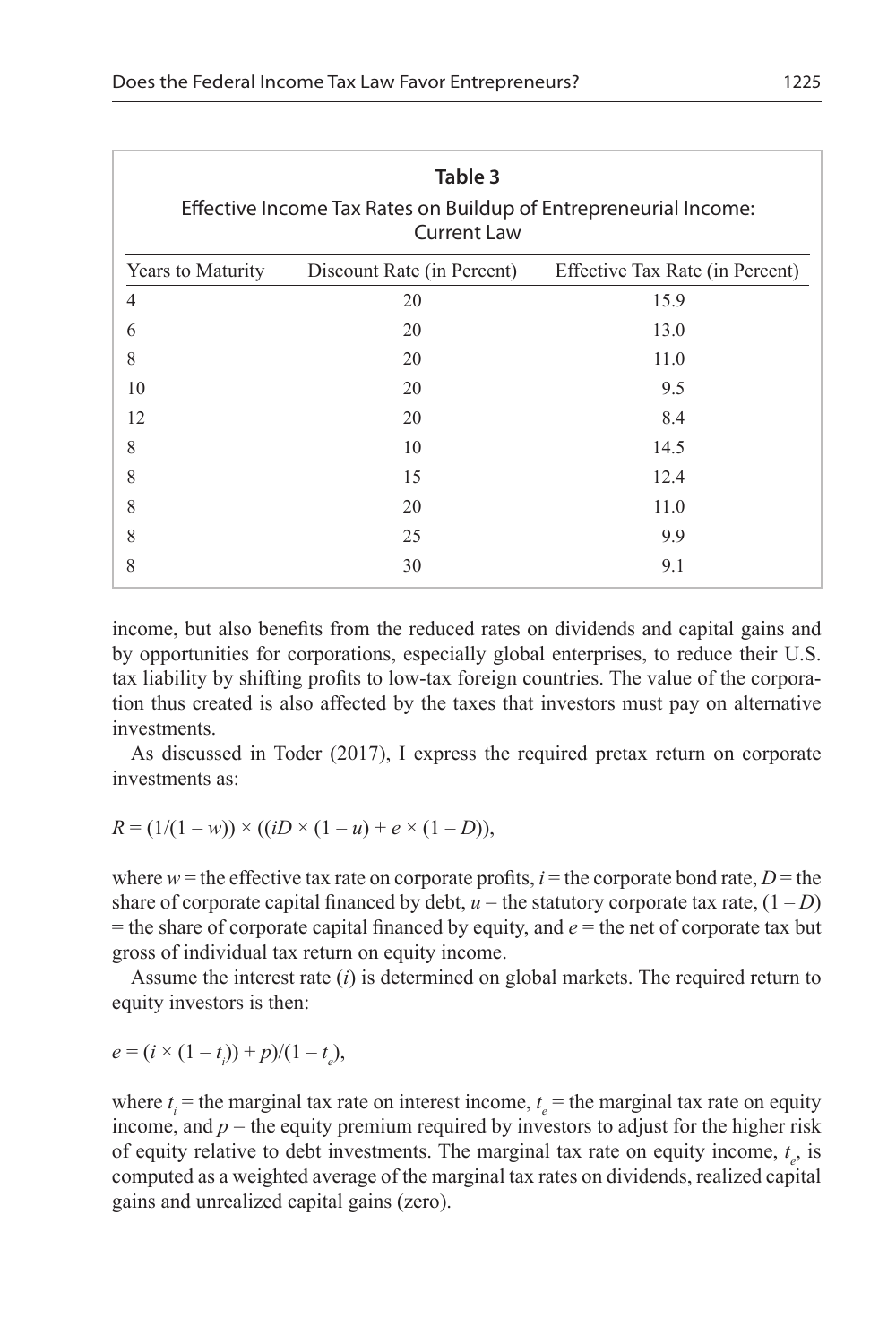| Table 3<br>Effective Income Tax Rates on Buildup of Entrepreneurial Income:<br><b>Current Law</b> |                            |                                 |  |  |
|---------------------------------------------------------------------------------------------------|----------------------------|---------------------------------|--|--|
| Years to Maturity                                                                                 | Discount Rate (in Percent) | Effective Tax Rate (in Percent) |  |  |
| 4                                                                                                 | 20                         | 15.9                            |  |  |
| 6                                                                                                 | 20                         | 13.0                            |  |  |
| 8                                                                                                 | 20                         | 11.0                            |  |  |
| 10                                                                                                | 20                         | 9.5                             |  |  |
| 12                                                                                                | 20                         | 8.4                             |  |  |
| 8                                                                                                 | 10                         | 14.5                            |  |  |
| 8                                                                                                 | 15                         | 12.4                            |  |  |
| 8                                                                                                 | 20                         | 11.0                            |  |  |
| 8                                                                                                 | 25                         | 9.9                             |  |  |
| 8                                                                                                 | 30                         | 9.1                             |  |  |

income, but also benefits from the reduced rates on dividends and capital gains and by opportunities for corporations, especially global enterprises, to reduce their U.S. tax liability by shifting profits to low-tax foreign countries. The value of the corporation thus created is also affected by the taxes that investors must pay on alternative investments.

As discussed in Toder (2017), I express the required pretax return on corporate investments as:

$$
R = (1/(1 - w)) \times ((iD \times (1 - u) + e \times (1 - D)),
$$

where  $w =$  the effective tax rate on corporate profits,  $i =$  the corporate bond rate,  $D =$  the share of corporate capital financed by debt,  $u =$  the statutory corporate tax rate,  $(1 – D)$  $=$  the share of corporate capital financed by equity, and  $e =$  the net of corporate tax but gross of individual tax return on equity income.

Assume the interest rate (*i*) is determined on global markets. The required return to equity investors is then:

$$
e = (i \times (1 - t_i)) + p)/(1 - t_e),
$$

where  $t_i$  = the marginal tax rate on interest income,  $t_e$  = the marginal tax rate on equity income, and  $p =$  the equity premium required by investors to adjust for the higher risk of equity relative to debt investments. The marginal tax rate on equity income, *t e* , is computed as a weighted average of the marginal tax rates on dividends, realized capital gains and unrealized capital gains (zero).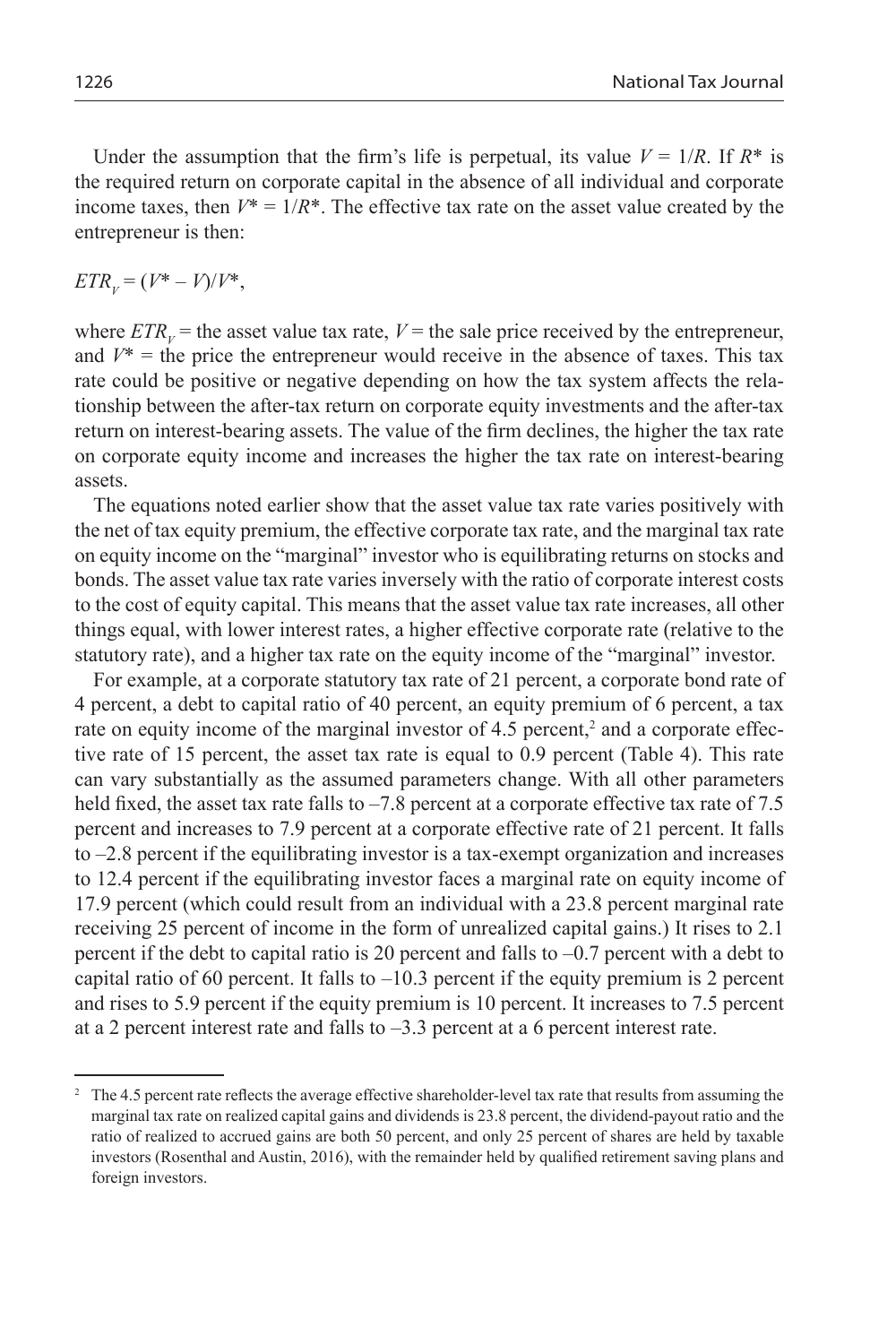Under the assumption that the firm's life is perpetual, its value  $V = 1/R$ . If  $R^*$  is the required return on corporate capital in the absence of all individual and corporate income taxes, then  $V^* = 1/R^*$ . The effective tax rate on the asset value created by the entrepreneur is then:

 $ETR_v = (V^* - V)/V^*$ ,

where  $ETR_v$  = the asset value tax rate,  $V$  = the sale price received by the entrepreneur, and  $V^*$  = the price the entrepreneur would receive in the absence of taxes. This tax rate could be positive or negative depending on how the tax system affects the relationship between the after-tax return on corporate equity investments and the after-tax return on interest-bearing assets. The value of the firm declines, the higher the tax rate on corporate equity income and increases the higher the tax rate on interest-bearing assets.

The equations noted earlier show that the asset value tax rate varies positively with the net of tax equity premium, the effective corporate tax rate, and the marginal tax rate on equity income on the "marginal" investor who is equilibrating returns on stocks and bonds. The asset value tax rate varies inversely with the ratio of corporate interest costs to the cost of equity capital. This means that the asset value tax rate increases, all other things equal, with lower interest rates, a higher effective corporate rate (relative to the statutory rate), and a higher tax rate on the equity income of the "marginal" investor.

For example, at a corporate statutory tax rate of 21 percent, a corporate bond rate of 4 percent, a debt to capital ratio of 40 percent, an equity premium of 6 percent, a tax rate on equity income of the marginal investor of 4.5 percent,<sup>2</sup> and a corporate effective rate of 15 percent, the asset tax rate is equal to 0.9 percent (Table 4). This rate can vary substantially as the assumed parameters change. With all other parameters held fixed, the asset tax rate falls to  $-7.8$  percent at a corporate effective tax rate of 7.5 percent and increases to 7.9 percent at a corporate effective rate of 21 percent. It falls to  $-2.8$  percent if the equilibrating investor is a tax-exempt organization and increases to 12.4 percent if the equilibrating investor faces a marginal rate on equity income of 17.9 percent (which could result from an individual with a 23.8 percent marginal rate receiving 25 percent of income in the form of unrealized capital gains.) It rises to 2.1 percent if the debt to capital ratio is 20 percent and falls to  $-0.7$  percent with a debt to capital ratio of 60 percent. It falls to  $-10.3$  percent if the equity premium is 2 percent and rises to 5.9 percent if the equity premium is 10 percent. It increases to 7.5 percent at a 2 percent interest rate and falls to –3.3 percent at a 6 percent interest rate.

<sup>&</sup>lt;sup>2</sup> The 4.5 percent rate reflects the average effective shareholder-level tax rate that results from assuming the marginal tax rate on realized capital gains and dividends is 23.8 percent, the dividend-payout ratio and the ratio of realized to accrued gains are both 50 percent, and only 25 percent of shares are held by taxable investors (Rosenthal and Austin, 2016), with the remainder held by qualified retirement saving plans and foreign investors.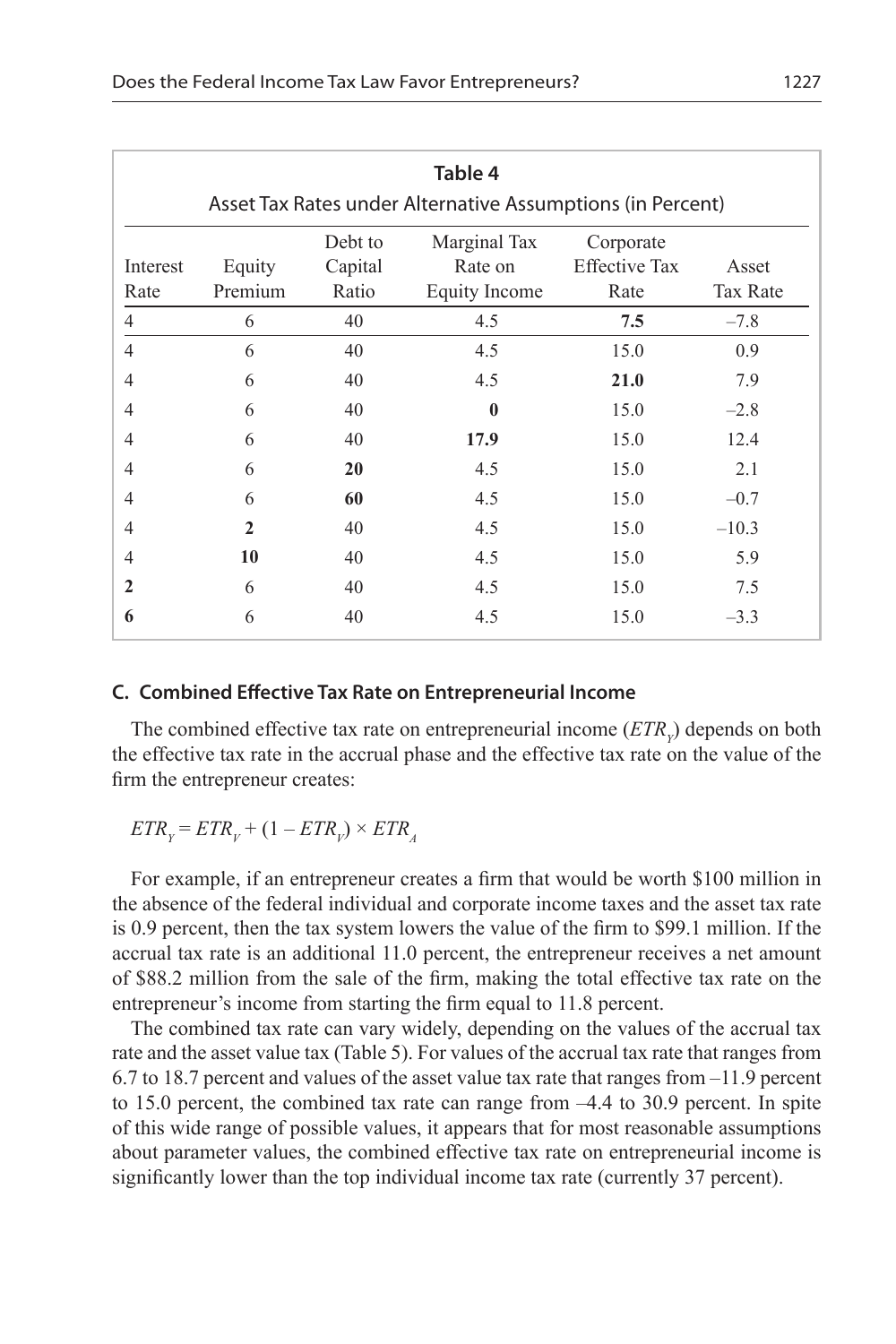| Table 4      |                                                            |                    |                         |                                   |                 |
|--------------|------------------------------------------------------------|--------------------|-------------------------|-----------------------------------|-----------------|
|              | Asset Tax Rates under Alternative Assumptions (in Percent) |                    |                         |                                   |                 |
| Interest     | Equity                                                     | Debt to<br>Capital | Marginal Tax<br>Rate on | Corporate<br><b>Effective Tax</b> | Asset           |
| Rate         | Premium                                                    | Ratio              | <b>Equity Income</b>    | Rate                              | <b>Tax Rate</b> |
| 4            | 6                                                          | 40                 | 4.5                     | 7.5                               | $-7.8$          |
| 4            | 6                                                          | 40                 | 4.5                     | 15.0                              | 0.9             |
| 4            | 6                                                          | 40                 | 4.5                     | 21.0                              | 7.9             |
| 4            | 6                                                          | 40                 | $\mathbf{0}$            | 15.0                              | $-2.8$          |
| 4            | 6                                                          | 40                 | 17.9                    | 15.0                              | 12.4            |
| 4            | 6                                                          | 20                 | 4.5                     | 15.0                              | 2.1             |
| 4            | 6                                                          | 60                 | 4.5                     | 15.0                              | $-0.7$          |
| 4            | $\mathbf{2}$                                               | 40                 | 4.5                     | 15.0                              | $-10.3$         |
| 4            | 10                                                         | 40                 | 4.5                     | 15.0                              | 5.9             |
| $\mathbf{2}$ | 6                                                          | 40                 | 4.5                     | 15.0                              | 7.5             |
| 6            | 6                                                          | 40                 | 4.5                     | 15.0                              | $-3.3$          |

#### **C. Combined Effective Tax Rate on Entrepreneurial Income**

The combined effective tax rate on entrepreneurial income  $(ETR<sub>y</sub>)$  depends on both the effective tax rate in the accrual phase and the effective tax rate on the value of the firm the entrepreneur creates:

$$
ETR_{Y} = ETR_{V} + (1 - ETR_{V}) \times ETR_{A}
$$

For example, if an entrepreneur creates a firm that would be worth \$100 million in the absence of the federal individual and corporate income taxes and the asset tax rate is 0.9 percent, then the tax system lowers the value of the firm to \$99.1 million. If the accrual tax rate is an additional 11.0 percent, the entrepreneur receives a net amount of \$88.2 million from the sale of the firm, making the total effective tax rate on the entrepreneur's income from starting the firm equal to 11.8 percent.

The combined tax rate can vary widely, depending on the values of the accrual tax rate and the asset value tax (Table 5). For values of the accrual tax rate that ranges from 6.7 to 18.7 percent and values of the asset value tax rate that ranges from –11.9 percent to 15.0 percent, the combined tax rate can range from –4.4 to 30.9 percent. In spite of this wide range of possible values, it appears that for most reasonable assumptions about parameter values, the combined effective tax rate on entrepreneurial income is significantly lower than the top individual income tax rate (currently 37 percent).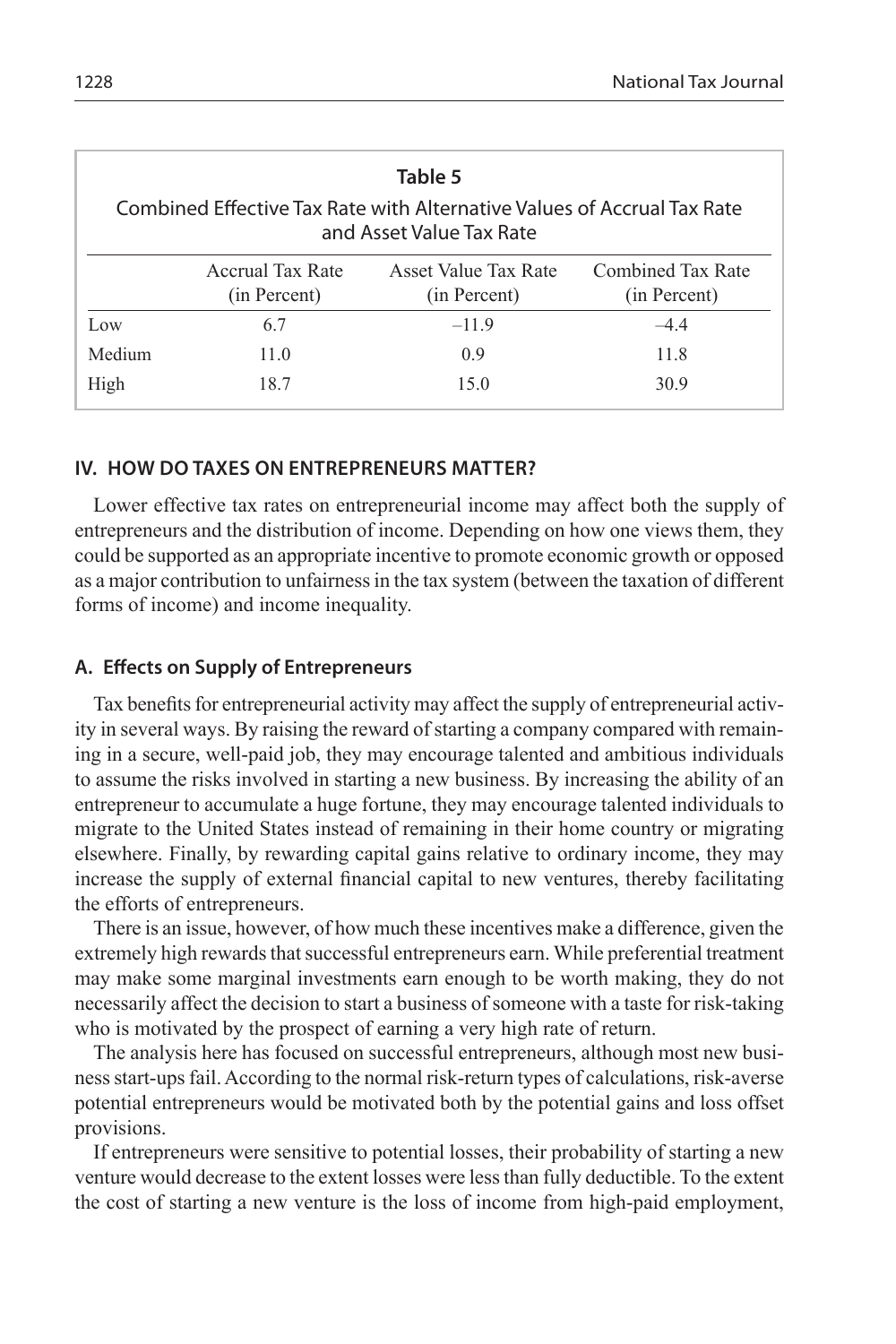| Table 5<br>Combined Effective Tax Rate with Alternative Values of Accrual Tax Rate<br>and Asset Value Tax Rate |                                  |                                      |                                   |  |
|----------------------------------------------------------------------------------------------------------------|----------------------------------|--------------------------------------|-----------------------------------|--|
|                                                                                                                | Accrual Tax Rate<br>(in Percent) | Asset Value Tax Rate<br>(in Percent) | Combined Tax Rate<br>(in Percent) |  |
| Low                                                                                                            | 6.7                              | $-11.9$                              | $-4.4$                            |  |
| Medium                                                                                                         | 11.0                             | 0.9                                  | 11.8                              |  |
| High                                                                                                           | 18.7                             | 15.0                                 | 30.9                              |  |

#### **IV. HOW DO TAXES ON ENTREPRENEURS MATTER?**

Lower effective tax rates on entrepreneurial income may affect both the supply of entrepreneurs and the distribution of income. Depending on how one views them, they could be supported as an appropriate incentive to promote economic growth or opposed as a major contribution to unfairness in the tax system (between the taxation of different forms of income) and income inequality.

#### **A. Effects on Supply of Entrepreneurs**

Tax benefits for entrepreneurial activity may affect the supply of entrepreneurial activity in several ways. By raising the reward of starting a company compared with remaining in a secure, well-paid job, they may encourage talented and ambitious individuals to assume the risks involved in starting a new business. By increasing the ability of an entrepreneur to accumulate a huge fortune, they may encourage talented individuals to migrate to the United States instead of remaining in their home country or migrating elsewhere. Finally, by rewarding capital gains relative to ordinary income, they may increase the supply of external financial capital to new ventures, thereby facilitating the efforts of entrepreneurs.

There is an issue, however, of how much these incentives make a difference, given the extremely high rewards that successful entrepreneurs earn. While preferential treatment may make some marginal investments earn enough to be worth making, they do not necessarily affect the decision to start a business of someone with a taste for risk-taking who is motivated by the prospect of earning a very high rate of return.

The analysis here has focused on successful entrepreneurs, although most new business start-ups fail. According to the normal risk-return types of calculations, risk-averse potential entrepreneurs would be motivated both by the potential gains and loss offset provisions.

If entrepreneurs were sensitive to potential losses, their probability of starting a new venture would decrease to the extent losses were less than fully deductible. To the extent the cost of starting a new venture is the loss of income from high-paid employment,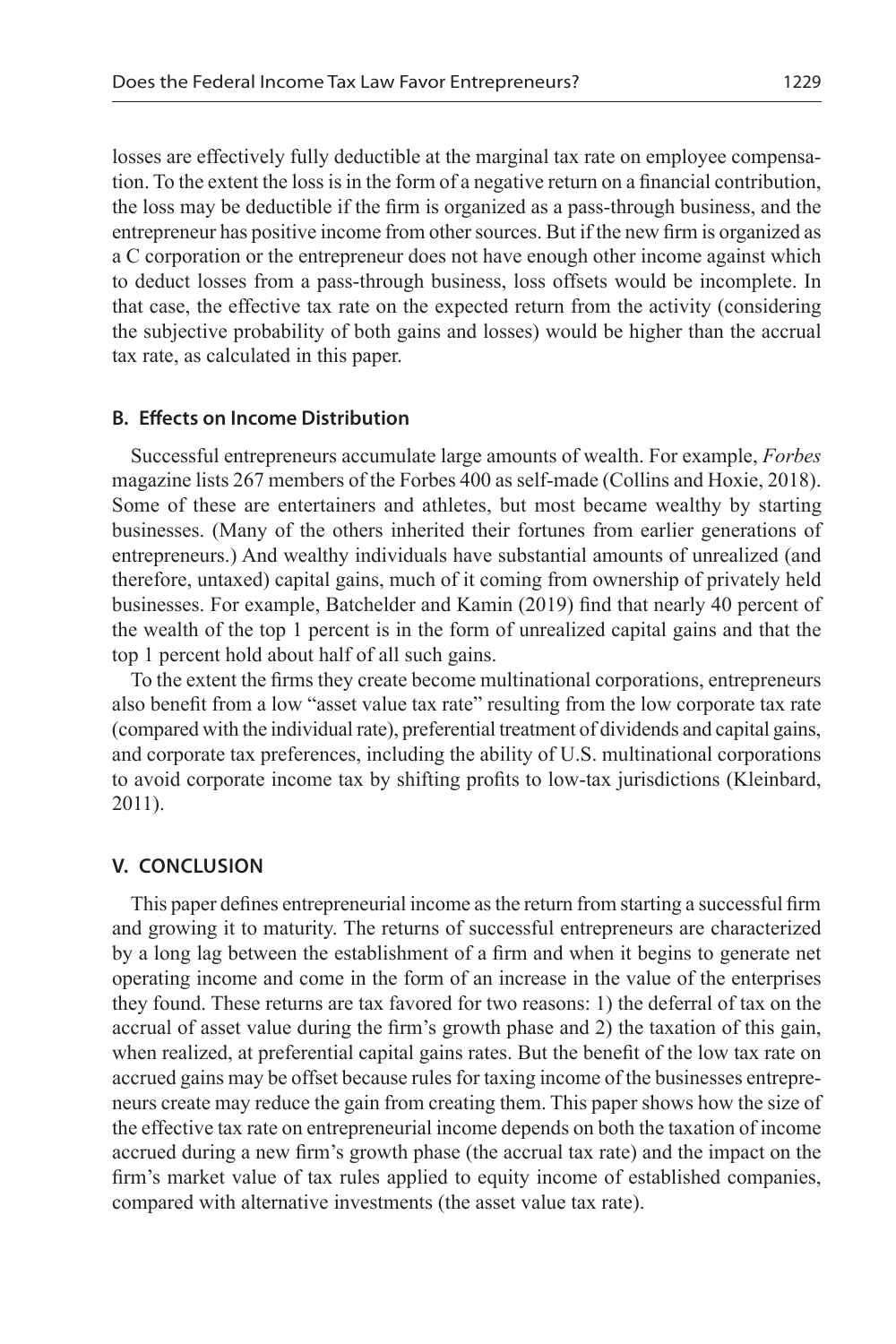losses are effectively fully deductible at the marginal tax rate on employee compensation. To the extent the loss is in the form of a negative return on a financial contribution, the loss may be deductible if the firm is organized as a pass-through business, and the entrepreneur has positive income from other sources. But if the new firm is organized as a C corporation or the entrepreneur does not have enough other income against which to deduct losses from a pass-through business, loss offsets would be incomplete. In that case, the effective tax rate on the expected return from the activity (considering the subjective probability of both gains and losses) would be higher than the accrual tax rate, as calculated in this paper.

#### **B. Effects on Income Distribution**

Successful entrepreneurs accumulate large amounts of wealth. For example, *Forbes* magazine lists 267 members of the Forbes 400 as self-made (Collins and Hoxie, 2018). Some of these are entertainers and athletes, but most became wealthy by starting businesses. (Many of the others inherited their fortunes from earlier generations of entrepreneurs.) And wealthy individuals have substantial amounts of unrealized (and therefore, untaxed) capital gains, much of it coming from ownership of privately held businesses. For example, Batchelder and Kamin (2019) find that nearly 40 percent of the wealth of the top 1 percent is in the form of unrealized capital gains and that the top 1 percent hold about half of all such gains.

To the extent the firms they create become multinational corporations, entrepreneurs also benefit from a low "asset value tax rate" resulting from the low corporate tax rate (compared with the individual rate), preferential treatment of dividends and capital gains, and corporate tax preferences, including the ability of U.S. multinational corporations to avoid corporate income tax by shifting profits to low-tax jurisdictions (Kleinbard, 2011).

## **V. Conclusion**

This paper defines entrepreneurial income as the return from starting a successful firm and growing it to maturity. The returns of successful entrepreneurs are characterized by a long lag between the establishment of a firm and when it begins to generate net operating income and come in the form of an increase in the value of the enterprises they found. These returns are tax favored for two reasons: 1) the deferral of tax on the accrual of asset value during the firm's growth phase and 2) the taxation of this gain, when realized, at preferential capital gains rates. But the benefit of the low tax rate on accrued gains may be offset because rules for taxing income of the businesses entrepreneurs create may reduce the gain from creating them. This paper shows how the size of the effective tax rate on entrepreneurial income depends on both the taxation of income accrued during a new firm's growth phase (the accrual tax rate) and the impact on the firm's market value of tax rules applied to equity income of established companies, compared with alternative investments (the asset value tax rate).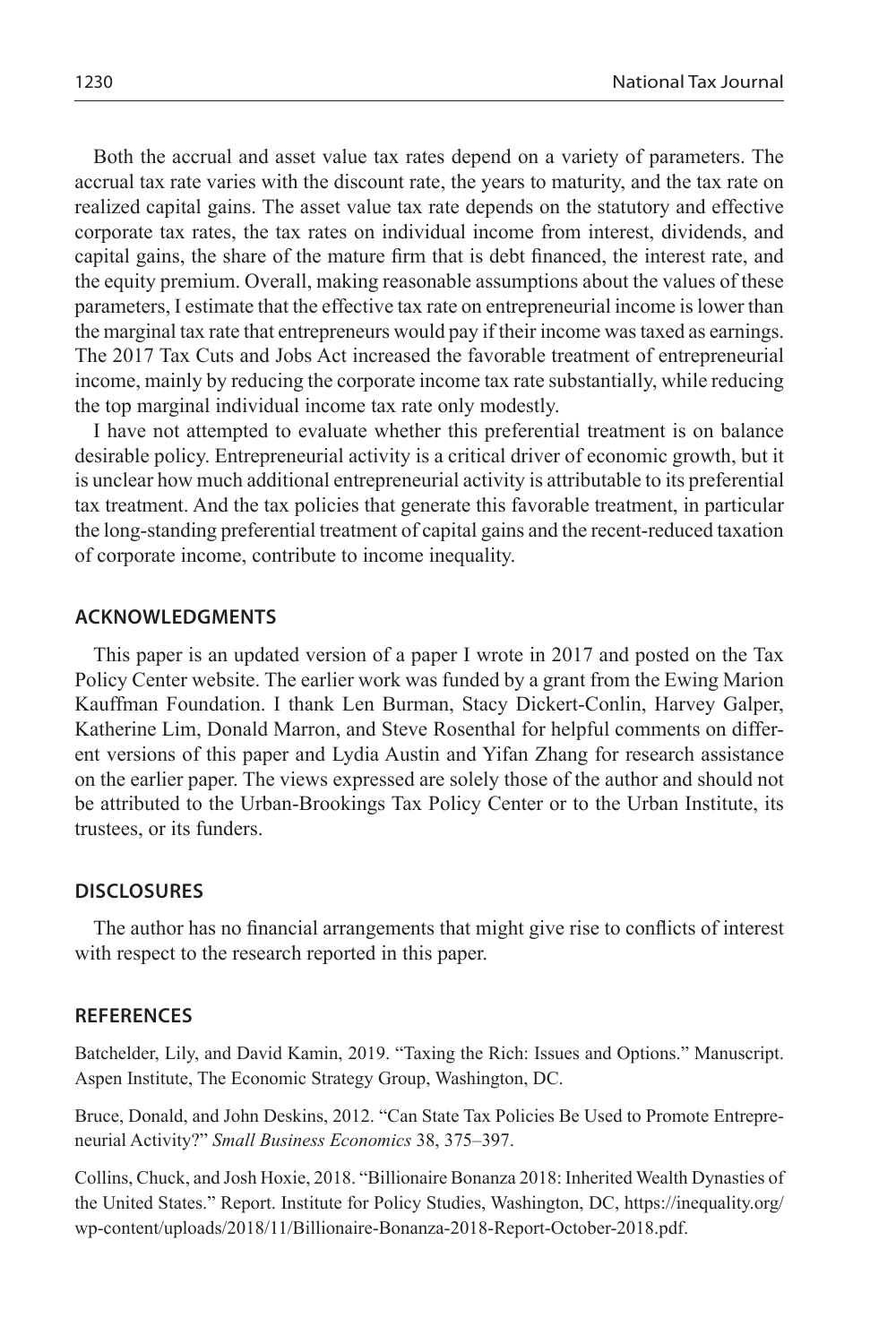Both the accrual and asset value tax rates depend on a variety of parameters. The accrual tax rate varies with the discount rate, the years to maturity, and the tax rate on realized capital gains. The asset value tax rate depends on the statutory and effective corporate tax rates, the tax rates on individual income from interest, dividends, and capital gains, the share of the mature firm that is debt financed, the interest rate, and the equity premium. Overall, making reasonable assumptions about the values of these parameters, I estimate that the effective tax rate on entrepreneurial income is lower than the marginal tax rate that entrepreneurs would pay if their income was taxed as earnings. The 2017 Tax Cuts and Jobs Act increased the favorable treatment of entrepreneurial income, mainly by reducing the corporate income tax rate substantially, while reducing the top marginal individual income tax rate only modestly.

I have not attempted to evaluate whether this preferential treatment is on balance desirable policy. Entrepreneurial activity is a critical driver of economic growth, but it is unclear how much additional entrepreneurial activity is attributable to its preferential tax treatment. And the tax policies that generate this favorable treatment, in particular the long-standing preferential treatment of capital gains and the recent-reduced taxation of corporate income, contribute to income inequality.

#### **ACKNOWLEDGMENTS**

This paper is an updated version of a paper I wrote in 2017 and posted on the Tax Policy Center website. The earlier work was funded by a grant from the Ewing Marion Kauffman Foundation. I thank Len Burman, Stacy Dickert-Conlin, Harvey Galper, Katherine Lim, Donald Marron, and Steve Rosenthal for helpful comments on different versions of this paper and Lydia Austin and Yifan Zhang for research assistance on the earlier paper. The views expressed are solely those of the author and should not be attributed to the Urban-Brookings Tax Policy Center or to the Urban Institute, its trustees, or its funders.

#### **DISCLOSURES**

The author has no financial arrangements that might give rise to conflicts of interest with respect to the research reported in this paper.

#### **REFERENCES**

Batchelder, Lily, and David Kamin, 2019. "Taxing the Rich: Issues and Options." Manuscript. Aspen Institute, The Economic Strategy Group, Washington, DC.

Bruce, Donald, and John Deskins, 2012. "Can State Tax Policies Be Used to Promote Entrepreneurial Activity?" *Small Business Economics* 38, 375–397.

Collins, Chuck, and Josh Hoxie, 2018. "Billionaire Bonanza 2018: Inherited Wealth Dynasties of the United States." Report. Institute for Policy Studies, Washington, DC, https://inequality.org/ wp-content/uploads/2018/11/Billionaire-Bonanza-2018-Report-October-2018.pdf.